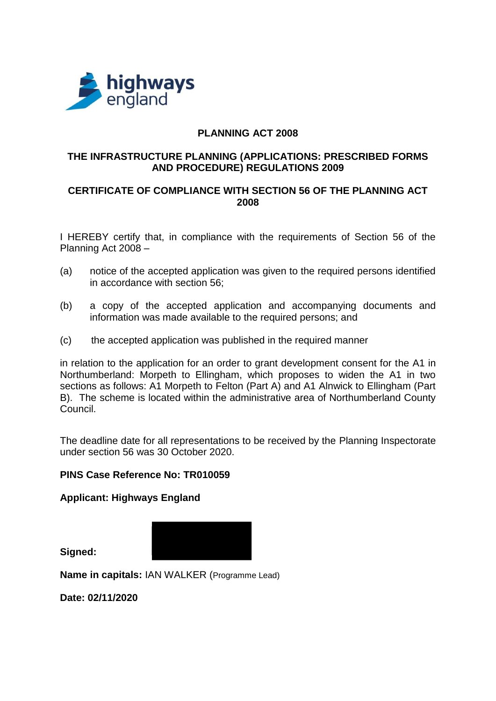

## **PLANNING ACT 2008**

### **THE INFRASTRUCTURE PLANNING (APPLICATIONS: PRESCRIBED FORMS AND PROCEDURE) REGULATIONS 2009**

# **CERTIFICATE OF COMPLIANCE WITH SECTION 56 OF THE PLANNING ACT 2008**

I HEREBY certify that, in compliance with the requirements of Section 56 of the Planning Act 2008 –

- (a) notice of the accepted application was given to the required persons identified in accordance with section 56;
- (b) a copy of the accepted application and accompanying documents and information was made available to the required persons; and
- (c) the accepted application was published in the required manner

in relation to the application for an order to grant development consent for the A1 in Northumberland: Morpeth to Ellingham, which proposes to widen the A1 in two sections as follows: A1 Morpeth to Felton (Part A) and A1 Alnwick to Ellingham (Part B). The scheme is located within the administrative area of Northumberland County Council.

The deadline date for all representations to be received by the Planning Inspectorate under section 56 was 30 October 2020.

### **PINS Case Reference No: TR010059**

**Applicant: Highways England**

**Signed:**



**Name in capitals: IAN WALKER (Programme Lead)** 

**Date: 02/11/2020**